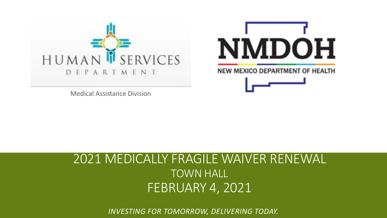



Medical Assistance Division

#### 2021 MEDICALLY FRAGILE WAIVER RENEWAL TOWN HALL FEBRUARY 4, 2021

*INVESTING FOR TOMORROW, DELIVERING TODAY.*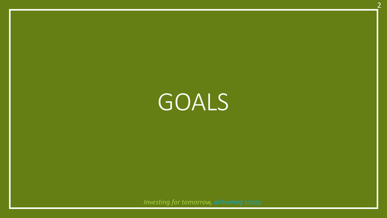GOALS

 $\overline{\phantom{a}}$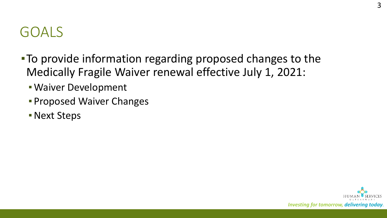### GOALS

- ▪To provide information regarding proposed changes to the Medically Fragile Waiver renewal effective July 1, 2021:
	- **· Waiver Development**
	- **Proposed Waiver Changes**
	- **Next Steps**

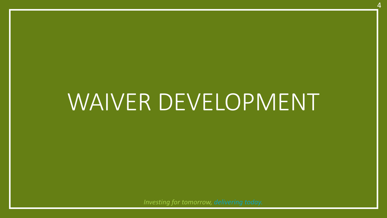# WAIVER DEVELOPMENT

4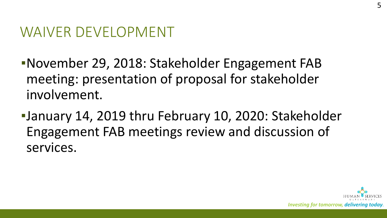#### WAIVER DEVELOPMENT

- ▪November 29, 2018: Stakeholder Engagement FAB meeting: presentation of proposal for stakeholder involvement.
- ▪January 14, 2019 thru February 10, 2020: Stakeholder Engagement FAB meetings review and discussion of services.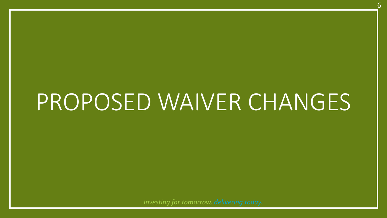# PROPOSED WAIVER CHANGES

6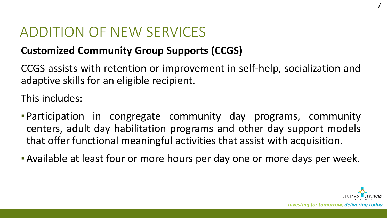#### ADDITION OF NEW SERVICES

#### **Customized Community Group Supports (CCGS)**

CCGS assists with retention or improvement in self-help, socialization and adaptive skills for an eligible recipient.

This includes:

- **Participation in congregate community day programs, community** centers, adult day habilitation programs and other day support models that offer functional meaningful activities that assist with acquisition.
- **E** Available at least four or more hours per day one or more days per week.

7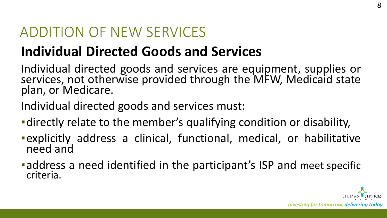#### ADDITION OF NEW SERVICES

## **Individual Directed Goods and Services**

Individual directed goods and services are equipment, supplies or services, not otherwise provided through the MFW, Medicaid state plan, or Medicare.

Individual directed goods and services must:

- **-directly relate to the member's qualifying condition or disability,**
- ▪explicitly address a clinical, functional, medical, or habilitative need and
- **Example 2 Figure 3 and repartified in the participant's ISP and meet specific** criteria.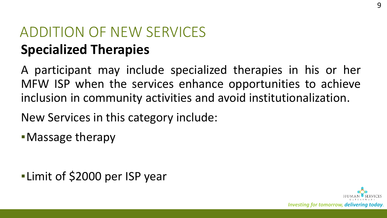## ADDITION OF NEW SERVICES **Specialized Therapies**

A participant may include specialized therapies in his or her MFW ISP when the services enhance opportunities to achieve inclusion in community activities and avoid institutionalization.

New Services in this category include:

**•Massage therapy** 

**ELimit of \$2000 per ISP year**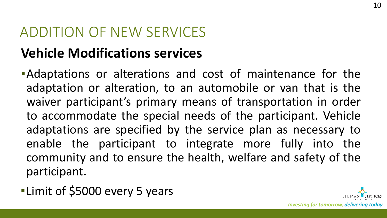#### ADDITION OF NEW SERVICES

### **Vehicle Modifications services**

- **Adaptations or alterations and cost of maintenance for the** adaptation or alteration, to an automobile or van that is the waiver participant's primary means of transportation in order to accommodate the special needs of the participant. Vehicle adaptations are specified by the service plan as necessary to enable the participant to integrate more fully into the community and to ensure the health, welfare and safety of the participant.
- **. Limit of \$5000 every 5 years**

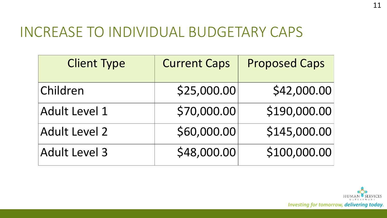#### INCREASE TO INDIVIDUAL BUDGETARY CAPS

| <b>Client Type</b>   | <b>Current Caps</b> | <b>Proposed Caps</b> |
|----------------------|---------------------|----------------------|
| Children             | \$25,000.00         | \$42,000.00          |
| <b>Adult Level 1</b> | \$70,000.00         | \$190,000.00         |
| Adult Level 2        | \$60,000.00         | \$145,000.00         |
| <b>Adult Level 3</b> | \$48,000.00         | \$100,000.00         |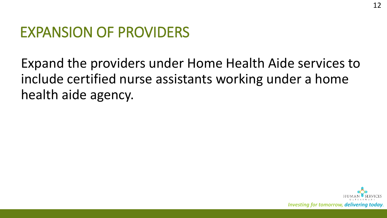### EXPANSION OF PROVIDERS

Expand the providers under Home Health Aide services to include certified nurse assistants working under a home health aide agency.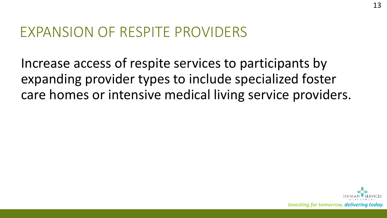#### EXPANSION OF RESPITE PROVIDERS

Increase access of respite services to participants by expanding provider types to include specialized foster care homes or intensive medical living service providers.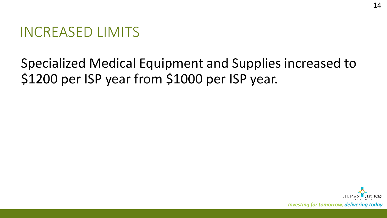#### INCREASED LIMITS

#### Specialized Medical Equipment and Supplies increased to \$1200 per ISP year from \$1000 per ISP year.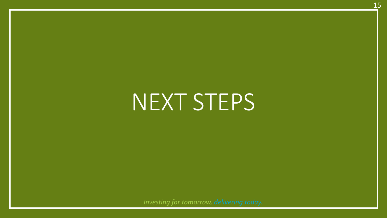# NEXT STEPS

15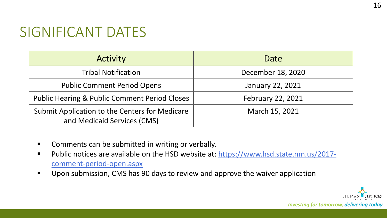### SIGNIFICANT DATES

| <b>Activity</b>                                                               | Date                     |
|-------------------------------------------------------------------------------|--------------------------|
| <b>Tribal Notification</b>                                                    | December 18, 2020        |
| <b>Public Comment Period Opens</b>                                            | <b>January 22, 2021</b>  |
| <b>Public Hearing &amp; Public Comment Period Closes</b>                      | <b>February 22, 2021</b> |
| Submit Application to the Centers for Medicare<br>and Medicaid Services (CMS) | March 15, 2021           |

- **E** Comments can be submitted in writing or verbally.
- Public notices are available on the HSD website at: https://www.hsd.state.nm.us/2017comment-period-open.aspx
- **Upon submission, CMS has 90 days to review and approve the waiver application**